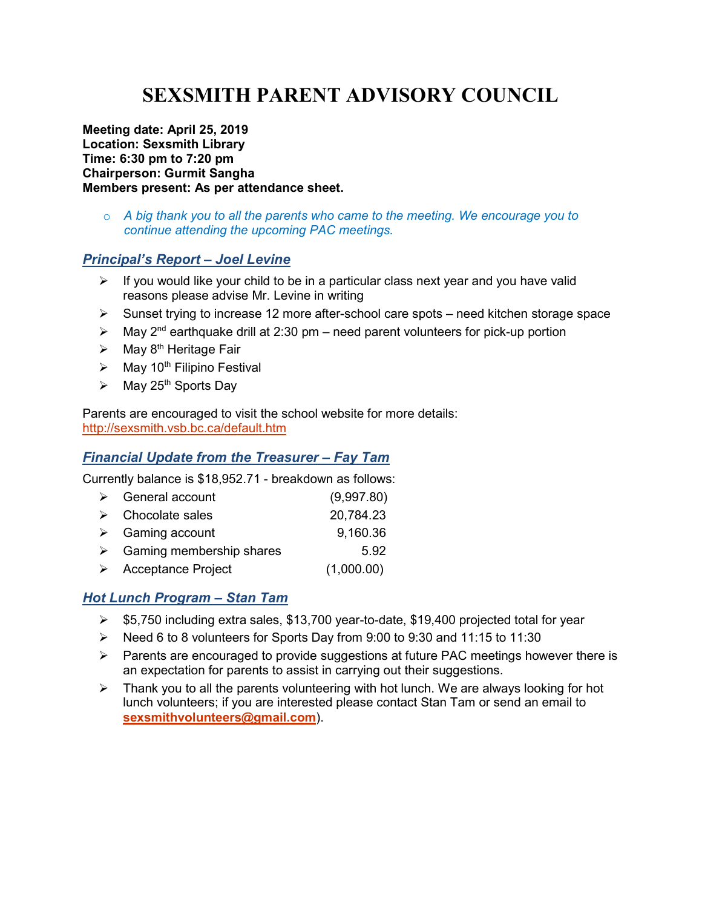# SEXSMITH PARENT ADVISORY COUNCIL

Meeting date: April 25, 2019 Location: Sexsmith Library Time: 6:30 pm to 7:20 pm Chairperson: Gurmit Sangha Members present: As per attendance sheet.

 $\circ$  A big thank you to all the parents who came to the meeting. We encourage you to continue attending the upcoming PAC meetings.

#### Principal's Report – Joel Levine

- $\triangleright$  If you would like your child to be in a particular class next year and you have valid reasons please advise Mr. Levine in writing
- $\triangleright$  Sunset trying to increase 12 more after-school care spots need kitchen storage space
- $\triangleright$  May 2<sup>nd</sup> earthquake drill at 2:30 pm need parent volunteers for pick-up portion
- $\triangleright$  May 8<sup>th</sup> Heritage Fair
- $\triangleright$  May 10<sup>th</sup> Filipino Festival
- $\triangleright$  May 25<sup>th</sup> Sports Day

Parents are encouraged to visit the school website for more details: http://sexsmith.vsb.bc.ca/default.htm

### Financial Update from the Treasurer – Fay Tam

Currently balance is \$18,952.71 - breakdown as follows:

| $\triangleright$ General account          | (9,997.80) |
|-------------------------------------------|------------|
| $\triangleright$ Chocolate sales          | 20,784.23  |
| $\triangleright$ Gaming account           | 9,160.36   |
| $\triangleright$ Gaming membership shares | 5.92       |
| $\triangleright$ Acceptance Project       | (1,000.00) |

## Hot Lunch Program – Stan Tam

- $\geq$  \$5,750 including extra sales, \$13,700 year-to-date, \$19,400 projected total for year
- $\triangleright$  Need 6 to 8 volunteers for Sports Day from 9:00 to 9:30 and 11:15 to 11:30
- $\triangleright$  Parents are encouraged to provide suggestions at future PAC meetings however there is an expectation for parents to assist in carrying out their suggestions.
- $\triangleright$  Thank you to all the parents volunteering with hot lunch. We are always looking for hot lunch volunteers; if you are interested please contact Stan Tam or send an email to sexsmithvolunteers@gmail.com).